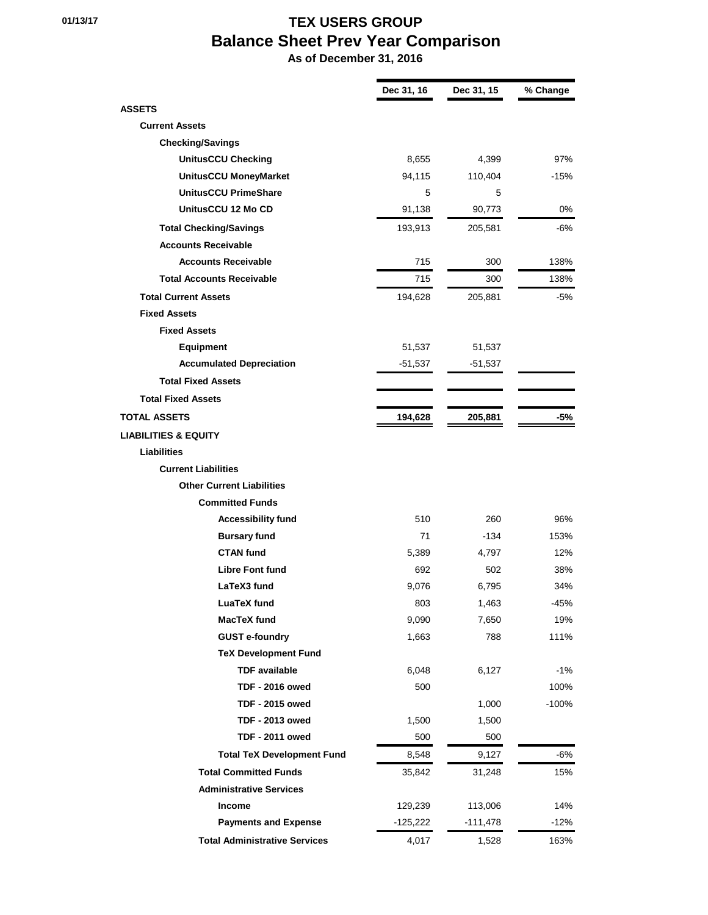## **01/13/17 TEX USERS GROUP Balance Sheet Prev Year Comparison**

 **As of December 31, 2016**

п

|                                      | Dec 31, 16 | Dec 31, 15 | % Change |
|--------------------------------------|------------|------------|----------|
| <b>ASSETS</b>                        |            |            |          |
| <b>Current Assets</b>                |            |            |          |
| <b>Checking/Savings</b>              |            |            |          |
| <b>UnitusCCU Checking</b>            | 8,655      | 4,399      | 97%      |
| UnitusCCU MoneyMarket                | 94,115     | 110,404    | $-15%$   |
| <b>UnitusCCU PrimeShare</b>          | 5          | 5          |          |
| UnitusCCU 12 Mo CD                   | 91,138     | 90,773     | 0%       |
| <b>Total Checking/Savings</b>        | 193,913    | 205,581    | -6%      |
| <b>Accounts Receivable</b>           |            |            |          |
| <b>Accounts Receivable</b>           | 715        | 300        | 138%     |
| <b>Total Accounts Receivable</b>     | 715        | 300        | 138%     |
| <b>Total Current Assets</b>          | 194,628    | 205,881    | -5%      |
| <b>Fixed Assets</b>                  |            |            |          |
| <b>Fixed Assets</b>                  |            |            |          |
| <b>Equipment</b>                     | 51,537     | 51,537     |          |
| <b>Accumulated Depreciation</b>      | $-51,537$  | $-51,537$  |          |
| <b>Total Fixed Assets</b>            |            |            |          |
| <b>Total Fixed Assets</b>            |            |            |          |
| <b>TOTAL ASSETS</b>                  | 194,628    | 205,881    | $-5%$    |
| <b>LIABILITIES &amp; EQUITY</b>      |            |            |          |
| Liabilities                          |            |            |          |
| <b>Current Liabilities</b>           |            |            |          |
| <b>Other Current Liabilities</b>     |            |            |          |
| <b>Committed Funds</b>               |            |            |          |
| <b>Accessibility fund</b>            | 510        | 260        | 96%      |
| <b>Bursary fund</b>                  | 71         | -134       | 153%     |
| <b>CTAN fund</b>                     | 5,389      | 4,797      | 12%      |
| <b>Libre Font fund</b>               | 692        | 502        | 38%      |
| LaTeX3 fund                          | 9,076      | 6,795      | 34%      |
| <b>LuaTeX fund</b>                   | 803        | 1,463      | $-45%$   |
| MacTeX fund                          | 9,090      | 7,650      | 19%      |
| <b>GUST e-foundry</b>                | 1,663      | 788        | 111%     |
| <b>TeX Development Fund</b>          |            |            |          |
| <b>TDF</b> available                 | 6,048      | 6,127      | $-1%$    |
| <b>TDF - 2016 owed</b>               | 500        |            | 100%     |
| <b>TDF - 2015 owed</b>               |            | 1,000      | $-100%$  |
| <b>TDF - 2013 owed</b>               | 1,500      | 1,500      |          |
| <b>TDF - 2011 owed</b>               | 500        | 500        |          |
| <b>Total TeX Development Fund</b>    | 8,548      | 9,127      | $-6%$    |
| <b>Total Committed Funds</b>         | 35,842     | 31,248     | 15%      |
| <b>Administrative Services</b>       |            |            |          |
| Income                               | 129,239    | 113,006    | 14%      |
| <b>Payments and Expense</b>          | -125,222   | -111,478   | $-12%$   |
| <b>Total Administrative Services</b> | 4,017      | 1,528      | 163%     |